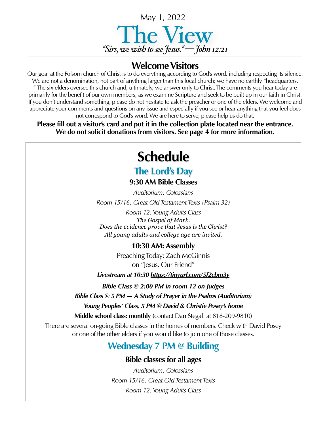

## **Welcome Visitors**

Our goal at the Folsom church of Christ is to do everything according to God's word, including respecting its silence. We are not a denomination, not part of anything larger than this local church; we have no earthly "headquarters. " The six elders oversee this church and, ultimately, we answer only to Christ. The comments you hear today are primarily for the benefit of our own members, as we examine Scripture and seek to be built up in our faith in Christ. If you don't understand something, please do not hesitate to ask the preacher or one of the elders. We welcome and appreciate your comments and questions on any issue and especially if you see or hear anything that you feel does not correspond to God's word. We are here to serve; please help us do that.

**Please fill out a visitor's card and put it in the collection plate located near the entrance. We do not solicit donations from visitors. See page 4 for more information.**

# **Schedule**

## **The Lord's Day**

**9:30 AM Bible Classes**

*Auditorium: Colossians Room 15/16: Great Old Testament Texts (Psalm 32)*

*Room 12: Young Adults Class The Gospel of Mark. Does the evidence prove that Jesus is the Christ? All young adults and college age are invited*.

### **10:30 AM: Assembly**

Preaching Today: Zach McGinnis on "Jesus, Our Friend"

*Livestream at 10:30 <https://tinyurl.com/5f2cbm3y>*

*Bible Class @ 2:00 PM in room 12 on Judges*

*Bible Class @ 5 PM — A Study of Prayer in the Psalms (Auditorium)*

*Young Peoples' Class, 5 PM @ David & Christie Posey's home* 

**Middle school class: monthly (**contact Dan Stegall at 818-209-9810)

There are several on-going Bible classes in the homes of members. Check with David Posey or one of the other elders if you would like to join one of those classes.

## **Wednesday 7 PM @ Building**

## **Bible classes for all ages**

*Auditorium: Colossians Room 15/16: Great Old Testament Texts Room 12: Young Adults Class*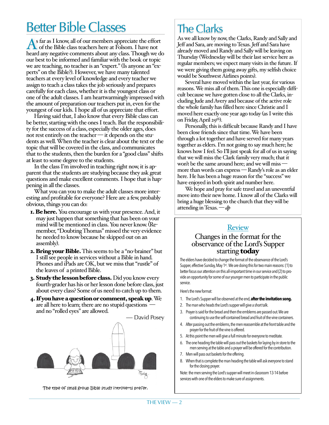# Better Bible Classes

As far as I know, all of our members appreciate the effort<br>
of the Bible class teachers here at Folsom. I have not heard any negative comments about any class. Though we do our best to be informed and familiar with the book or topic we are teaching, no teacher is an "expert." (Is anyone an "experts" on the Bible?). However, we have many talented teachers at every level of knowledge and every teacher we assign to teach a class takes the job seriously and prepares carefully for each class, whether it is the youngest class or one of the adult classes. I am heartwarmingly impressed with the amount of preparation our teachers put in, even for the youngest of our kids. I hope all of us appreciate that effort.

Having said that, I also know that every Bible class can be better, starting with the ones I teach. But the responsibility for the success of a class, especially the older ages, does not rest entirely on the teacher — it depends on the students as well. When the teacher is clear about the text or the topic that will be covered in the class, and communicates that to the students, then the burden for a "good class" shifts at least to some degree to the students.

In the class I'm involved in teaching right now, it is apparent that the students are studying because they ask great questions and make excellent comments. I hope that is happening in all the classes.

What you can you to make the adult classes more interesting and profitable for everyone? Here are a few, probably obvious, things you can do:

- **1. Be here.** You encourage us with your presence. And, it may just happen that something that has been on your mind will be mentioned in class. You never know. (Remember, "Doubting Thomas" missed the very evidence he needed to know because he skipped out on an assembly).
- **2. Bring your Bible.** This seems to be a "no-brainer" but I still see people in services without a Bible in hand. Phones and iPads are OK, but we miss that "rustle" of the leaves of a printed Bible.
- **3. Study the lesson before class.** Did you know every fourth-grader has his or her lesson done before class, just about every class? Some of us need to catch up to them.
- 4. If you have a question or comment, speak up. We are all here to learn; there are no stupid questions and no "rolled eyes" are allowed.

— David Posey

The type of small group Bible study introverts prefer.

# The Clarks

As we all know by now, the Clarks, Randy and Sally and Jeff and Sara, are moving to Texas. Jeff and Sara have already moved and Randy and Sally will be leaving on Thursday (Wednesday will be their last service here as regular members; we expect many visits in the future. If we were giving them going away gifts, my selfish choice would be Southwest Airlines points).

Several have moved within the last year, for various reasons. We miss all of them. This one is especially difficult because we have gotten close to all the Clarks, including Jude and Avery and because of the active role the whole family has filled here since Christie and I moved here exactly one year ago today (as I write this on Friday, April 29th).

Personally, this is difficult because Randy and I have been close friends since that time. We have been through a lot together and have served for many years together as elders. I'm not going to say much here; he knows how I feel. So I'll just speak for all of us in saying that we will miss the Clark family very much; that it won't be the same around here; and we will miss more than words can express — Randy's role as an elder here. He has been a huge reason for the "success" we have enjoyed in both spirit and number here.

We hope and pray for safe travel and an uneventful move into their new home. I know all of the Clarks will bring a huge blessing to the church that they will be attending in Texas. — *dp*

#### Review

#### Changes in the format for the observance of the Lord's Supper starting **today**

The elders have decided to change the format of the observance of the Lord's Supper, effective Sunday, May 1st. We are doing this for two main reasons: (1) to better focus our attention on this all-important time in our service and (2) to provide an opportunity for some of our younger men to participate in the public service.

#### Here's the new format:

- 1. The Lord's Supper will be observed at the end, **after the invitation song.**
- 2. The man who heads the Lord's supper will give a short talk.
- 3. Prayer is said for the bread and then the emblems are passed out. We are continuing to use the self-contained bread and fruit of the vine containers.
- 4. After passing out the emblems, the men reassemble at the front table and the prayer for the fruit of the vine is offered.
- 5. At this point the men will give a full minute for everyone to meditate.
- 6. The one heading the table will pass out the baskets for laying by in store to the men serving at the table and a prayer will be offered for the contribution.
- 7. Men will pass out baskets for the offering.
- 8. When that is complete the man heading the table will ask everyone to stand for the closing prayer.

Note: the men serving the Lord's supper will meet in classroom 13-14 before services with one of the elders to make sure of assignments.